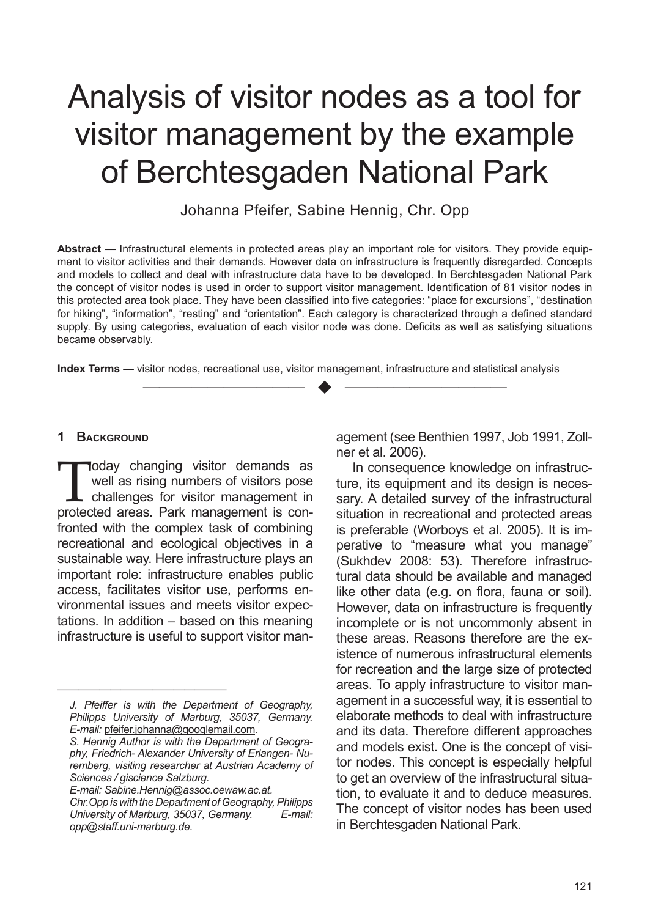# Analysis of visitor nodes as a tool for visitor management by the example of Berchtesgaden National Park

Johanna Pfeifer, Sabine Hennig, Chr. Opp

**Abstract** — Infrastructural elements in protected areas play an important role for visitors. They provide equipment to visitor activities and their demands. However data on infrastructure is frequently disregarded. Concepts and models to collect and deal with infrastructure data have to be developed. In Berchtesgaden National Park the concept of visitor nodes is used in order to support visitor management. Identification of 81 visitor nodes in this protected area took place. They have been classified into five categories: "place for excursions", "destination for hiking", "information", "resting" and "orientation". Each category is characterized through a defined standard supply. By using categories, evaluation of each visitor node was done. Deficits as well as satisfying situations became observably.

**Index Terms** — visitor nodes, recreational use, visitor management, infrastructure and statistical analysis

————————————————————

#### **1 Background**

Today changing visitor demands as<br>
well as rising numbers of visitors pose<br>
challenges for visitor management in<br>
protected areas Park management is conwell as rising numbers of visitors pose protected areas. Park management is confronted with the complex task of combining recreational and ecological objectives in a sustainable way. Here infrastructure plays an important role: infrastructure enables public access, facilitates visitor use, performs environmental issues and meets visitor expectations. In addition – based on this meaning infrastructure is useful to support visitor man-

*E-mail: Sabine.Hennig@assoc.oewaw.ac.at.*

————————————————

agement (see Benthien 1997, Job 1991, Zollner et al. 2006).

In consequence knowledge on infrastructure, its equipment and its design is necessary. A detailed survey of the infrastructural situation in recreational and protected areas is preferable (Worboys et al. 2005). It is imperative to "measure what you manage" (Sukhdev 2008: 53). Therefore infrastructural data should be available and managed like other data (e.g. on flora, fauna or soil). However, data on infrastructure is frequently incomplete or is not uncommonly absent in these areas. Reasons therefore are the existence of numerous infrastructural elements for recreation and the large size of protected areas. To apply infrastructure to visitor management in a successful way, it is essential to elaborate methods to deal with infrastructure and its data. Therefore different approaches and models exist. One is the concept of visitor nodes. This concept is especially helpful to get an overview of the infrastructural situation, to evaluate it and to deduce measures. The concept of visitor nodes has been used in Berchtesgaden National Park.

*J. Pfeiffer is with the Department of Geography, Philipps University of Marburg, 35037, Germany. E-mail:* pfeifer.johanna@googlemail.com*.*

*S. Hennig Author is with the Department of Geography, Friedrich- Alexander University of Erlangen- Nuremberg, visiting researcher at Austrian Academy of Sciences / giscience Salzburg.* 

*Chr.Opp is with the Department of Geography, Philipps University of Marburg, 35037, Germany. E-mail: opp@staff.uni-marburg.de.*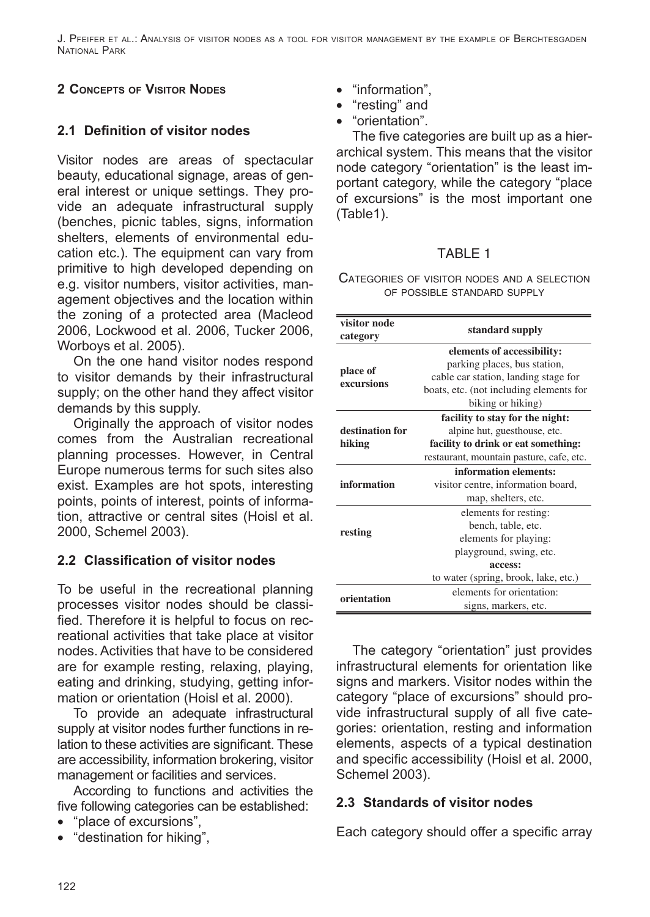J. Pfeifer et al.: Analysis of visitor nodes as <sup>a</sup> tool for visitor management by the example of Berchtesgaden National Park

# **2 Concepts of Visitor Nodes**

# **2.1 Definition of visitor nodes**

Visitor nodes are areas of spectacular beauty, educational signage, areas of general interest or unique settings. They provide an adequate infrastructural supply (benches, picnic tables, signs, information shelters, elements of environmental education etc.). The equipment can vary from primitive to high developed depending on e.g. visitor numbers, visitor activities, management objectives and the location within the zoning of a protected area (Macleod 2006, Lockwood et al. 2006, Tucker 2006, Worboys et al. 2005).

On the one hand visitor nodes respond to visitor demands by their infrastructural supply; on the other hand they affect visitor demands by this supply.

Originally the approach of visitor nodes comes from the Australian recreational planning processes. However, in Central Europe numerous terms for such sites also exist. Examples are hot spots, interesting points, points of interest, points of information, attractive or central sites (Hoisl et al. 2000, Schemel 2003).

## **2.2 Classification of visitor nodes**

To be useful in the recreational planning processes visitor nodes should be classified. Therefore it is helpful to focus on recreational activities that take place at visitor nodes. Activities that have to be considered are for example resting, relaxing, playing, eating and drinking, studying, getting information or orientation (Hoisl et al. 2000).

To provide an adequate infrastructural supply at visitor nodes further functions in relation to these activities are significant. These are accessibility, information brokering, visitor management or facilities and services.

According to functions and activities the five following categories can be established:

- "place of excursions",
- "destination for hiking",
- "information".
- "resting" and
- "orientation".

The five categories are built up as a hierarchical system. This means that the visitor node category "orientation" is the least important category, while the category "place of excursions" is the most important one (Table1).

# TABLE 1

Categories of visitor nodes and <sup>a</sup> selection of possible standard supply

| visitor node<br>category  | standard supply                          |  |
|---------------------------|------------------------------------------|--|
|                           | elements of accessibility:               |  |
| place of<br>excursions    | parking places, bus station,             |  |
|                           | cable car station, landing stage for     |  |
|                           | boats, etc. (not including elements for  |  |
|                           | biking or hiking)                        |  |
|                           | facility to stay for the night:          |  |
| destination for<br>hiking | alpine hut, guesthouse, etc.             |  |
|                           | facility to drink or eat something:      |  |
|                           | restaurant, mountain pasture, cafe, etc. |  |
|                           | information elements:                    |  |
| information               | visitor centre, information board,       |  |
|                           | map, shelters, etc.                      |  |
| resting                   | elements for resting:                    |  |
|                           | bench, table, etc.                       |  |
|                           | elements for playing:                    |  |
|                           | playground, swing, etc.                  |  |
|                           | access:                                  |  |
|                           | to water (spring, brook, lake, etc.)     |  |
| orientation               | elements for orientation:                |  |
|                           | signs, markers, etc.                     |  |

The category "orientation" just provides infrastructural elements for orientation like signs and markers. Visitor nodes within the category "place of excursions" should provide infrastructural supply of all five categories: orientation, resting and information elements, aspects of a typical destination and specific accessibility (Hoisl et al. 2000, Schemel 2003).

# **2.3 Standards of visitor nodes**

Each category should offer a specific array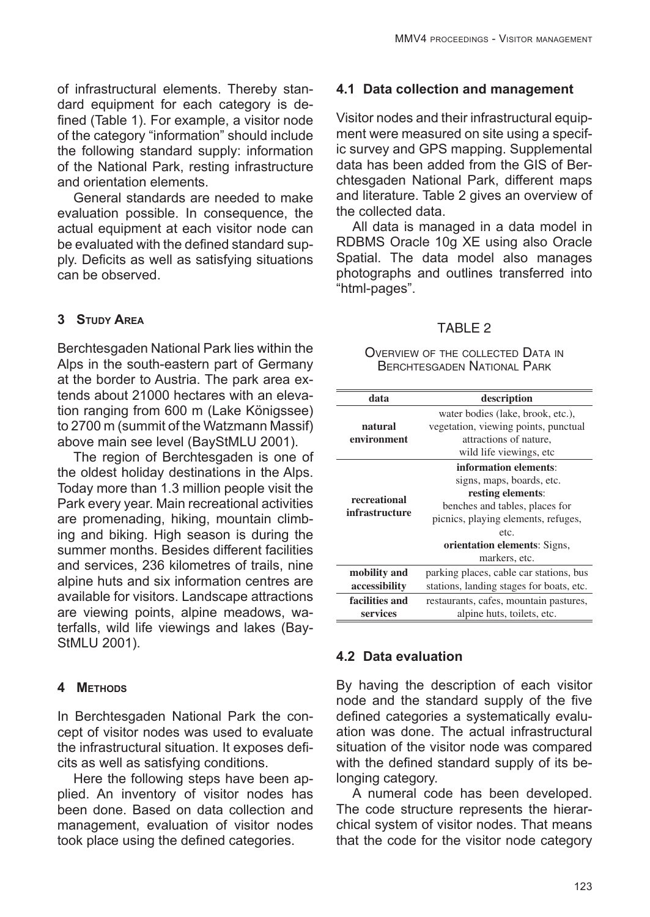of infrastructural elements. Thereby standard equipment for each category is defined (Table 1). For example, a visitor node of the category "information" should include the following standard supply: information of the National Park, resting infrastructure and orientation elements.

General standards are needed to make evaluation possible. In consequence, the actual equipment at each visitor node can be evaluated with the defined standard supply. Deficits as well as satisfying situations can be observed.

## **3 Study Area**

Berchtesgaden National Park lies within the Alps in the south-eastern part of Germany at the border to Austria. The park area extends about 21000 hectares with an elevation ranging from 600 m (Lake Königssee) to 2700 m (summit of the Watzmann Massif) above main see level (BayStMLU 2001).

The region of Berchtesgaden is one of the oldest holiday destinations in the Alps. Today more than 1.3 million people visit the Park every year. Main recreational activities are promenading, hiking, mountain climbing and biking. High season is during the summer months. Besides different facilities and services, 236 kilometres of trails, nine alpine huts and six information centres are available for visitors. Landscape attractions are viewing points, alpine meadows, waterfalls, wild life viewings and lakes (Bay-StMLU 2001).

## **4 Methods**

In Berchtesgaden National Park the concept of visitor nodes was used to evaluate the infrastructural situation. It exposes deficits as well as satisfying conditions.

Here the following steps have been applied. An inventory of visitor nodes has been done. Based on data collection and management, evaluation of visitor nodes took place using the defined categories.

## **4.1 Data collection and management**

Visitor nodes and their infrastructural equipment were measured on site using a specific survey and GPS mapping. Supplemental data has been added from the GIS of Berchtesgaden National Park, different maps and literature. Table 2 gives an overview of the collected data.

All data is managed in a data model in RDBMS Oracle 10g XE using also Oracle Spatial. The data model also manages photographs and outlines transferred into "html-pages".

## TABLE 2

#### OVERVIEW OF THE COLLECTED DATA IN Berchtesgaden National Park

| data                           | description                              |  |  |
|--------------------------------|------------------------------------------|--|--|
|                                | water bodies (lake, brook, etc.),        |  |  |
| natural<br>environment         | vegetation, viewing points, punctual     |  |  |
|                                | attractions of nature.                   |  |  |
|                                | wild life viewings, etc                  |  |  |
| recreational<br>infrastructure | information elements:                    |  |  |
|                                | signs, maps, boards, etc.                |  |  |
|                                | resting elements:                        |  |  |
|                                | benches and tables, places for           |  |  |
|                                | picnics, playing elements, refuges,      |  |  |
|                                | etc.                                     |  |  |
|                                | orientation elements: Signs,             |  |  |
|                                | markers, etc.                            |  |  |
| mobility and                   | parking places, cable car stations, bus  |  |  |
| accessibility                  | stations, landing stages for boats, etc. |  |  |
| facilities and                 | restaurants, cafes, mountain pastures,   |  |  |
| services                       | alpine huts, toilets, etc.               |  |  |

## **4.2 Data evaluation**

By having the description of each visitor node and the standard supply of the five defined categories a systematically evaluation was done. The actual infrastructural situation of the visitor node was compared with the defined standard supply of its belonging category.

A numeral code has been developed. The code structure represents the hierarchical system of visitor nodes. That means that the code for the visitor node category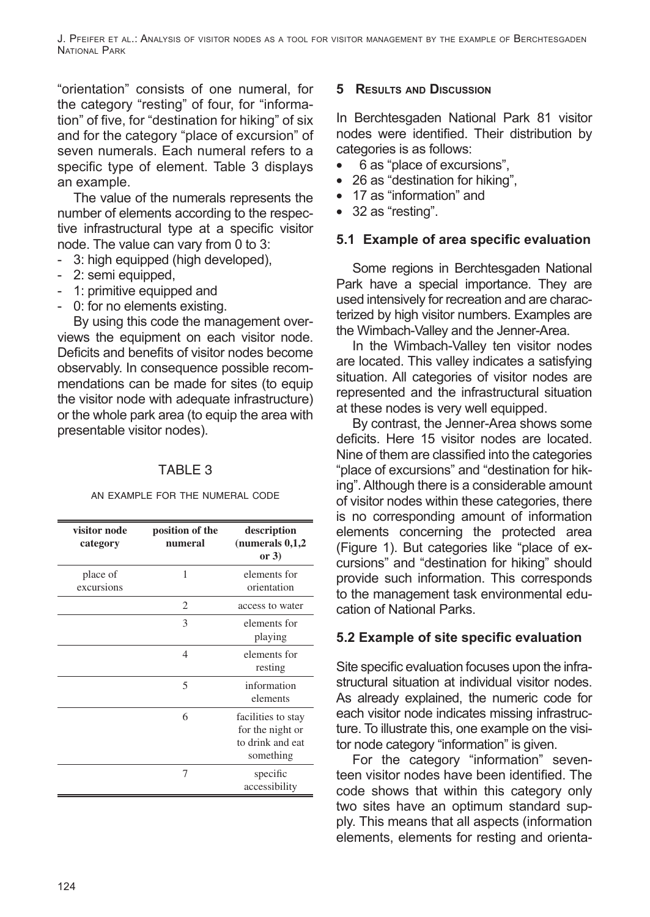J. Pfeifer et al.: Analysis of visitor nodes as <sup>a</sup> tool for visitor management by the example of Berchtesgaden National Park

"orientation" consists of one numeral, for the category "resting" of four, for "information" of five, for "destination for hiking" of six and for the category "place of excursion" of seven numerals. Each numeral refers to a specific type of element. Table 3 displays an example.

The value of the numerals represents the number of elements according to the respective infrastructural type at a specific visitor node. The value can vary from 0 to 3:

- 3: high equipped (high developed),
- 2: semi equipped.
- 1: primitive equipped and
- 0: for no elements existing.

By using this code the management overviews the equipment on each visitor node. Deficits and benefits of visitor nodes become observably. In consequence possible recommendations can be made for sites (to equip the visitor node with adequate infrastructure) or the whole park area (to equip the area with presentable visitor nodes).

# TABle 3

#### an example for the numeral code

| visitor node<br>category | position of the<br>numeral | description<br>(numerals $0,1,2$<br>or $3)$                             |
|--------------------------|----------------------------|-------------------------------------------------------------------------|
| place of<br>excursions   | 1                          | elements for<br>orientation                                             |
|                          | $\overline{c}$             | access to water                                                         |
|                          | 3                          | elements for<br>playing                                                 |
|                          | $\overline{4}$             | elements for<br>resting                                                 |
|                          | 5                          | information<br>elements                                                 |
|                          | 6                          | facilities to stay<br>for the night or<br>to drink and eat<br>something |
|                          | 7                          | specific<br>accessibility                                               |

# **5 Results and Discussion**

In Berchtesgaden National Park 81 visitor nodes were identified. Their distribution by categories is as follows:

- 6 as "place of excursions",
- 26 as "destination for hiking".
- • 17 as "information" and
- • 32 as "resting".

# **5.1 Example of area specific evaluation**

Some regions in Berchtesgaden National Park have a special importance. They are used intensively for recreation and are characterized by high visitor numbers. Examples are the Wimbach-Valley and the Jenner-Area.

In the Wimbach-Valley ten visitor nodes are located. This valley indicates a satisfying situation. All categories of visitor nodes are represented and the infrastructural situation at these nodes is very well equipped.

By contrast, the Jenner-Area shows some deficits. Here 15 visitor nodes are located. Nine of them are classified into the categories "place of excursions" and "destination for hiking". Although there is a considerable amount of visitor nodes within these categories, there is no corresponding amount of information elements concerning the protected area (Figure 1). But categories like "place of excursions" and "destination for hiking" should provide such information. This corresponds to the management task environmental education of National Parks.

# **5.2 Example of site specific evaluation**

Site specific evaluation focuses upon the infrastructural situation at individual visitor nodes. As already explained, the numeric code for each visitor node indicates missing infrastructure. To illustrate this, one example on the visitor node category "information" is given.

For the category "information" seventeen visitor nodes have been identified. The code shows that within this category only two sites have an optimum standard supply. This means that all aspects (information elements, elements for resting and orienta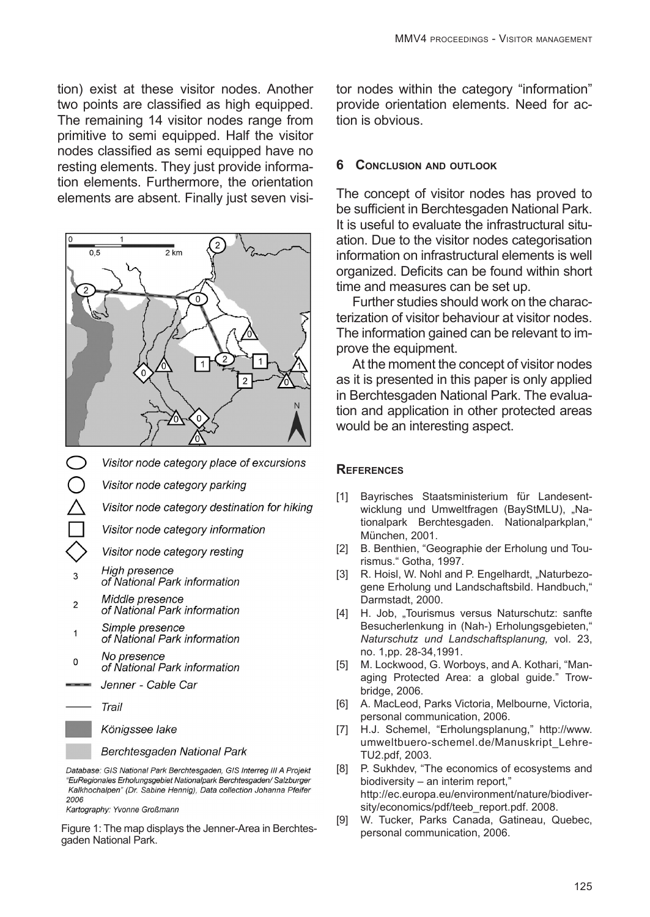tion) exist at these visitor nodes. Another two points are classified as high equipped. The remaining 14 visitor nodes range from primitive to semi equipped. Half the visitor nodes classified as semi equipped have no resting elements. They just provide information elements. Furthermore, the orientation elements are absent. Finally just seven visi-



Database: GIS National Park Berchtesgaden, GIS Interreg III A Projekt "EuRegionales Erholungsgebiet Nationalpark Berchtesgaden/ Salzburger Kalkhochalpen" (Dr. Sabine Hennig), Data collection Johanna Pfeifer 2006

Kartography: Yvonne Großmann

personal communication, 2006. Figure 1: The map displays the Jenner-Area in Berchtesgaden National Park.

tor nodes within the category "information" provide orientation elements. Need for action is obvious.

#### **6 Conclusion and outlook**

The concept of visitor nodes has proved to be sufficient in Berchtesgaden National Park. It is useful to evaluate the infrastructural situation. Due to the visitor nodes categorisation information on infrastructural elements is well organized. Deficits can be found within short time and measures can be set up.

Further studies should work on the characterization of visitor behaviour at visitor nodes. The information gained can be relevant to improve the equipment.

At the moment the concept of visitor nodes as it is presented in this paper is only applied in Berchtesgaden National Park. The evaluation and application in other protected areas would be an interesting aspect.

#### **References**

- [1] Bayrisches Staatsministerium für Landesentwicklung und Umweltfragen (BayStMLU), "Nationalpark Berchtesgaden. Nationalparkplan," München, 2001.
- [2] B. Benthien, "Geographie der Erholung und Tourismus." Gotha, 1997.
- [3] R. Hoisl, W. Nohl and P. Engelhardt, "Naturbezogene Erholung und Landschaftsbild. Handbuch," Darmstadt, 2000.
- [4] H. Job, "Tourismus versus Naturschutz: sanfte Besucherlenkung in (Nah-) Erholungsgebieten," *Naturschutz und Landschaftsplanung,* vol. 23, no. 1,pp. 28-34,1991.
- [5] M. Lockwood, G. Worboys, and A. Kothari, "Managing Protected Area: a global guide." Trowbridge, 2006.
- [6] A. MacLeod, Parks Victoria, Melbourne, Victoria, personal communication, 2006.
- [7] H.J. Schemel, "Erholungsplanung," http://www. umweltbuero-schemel.de/Manuskript\_Lehre-TU2.pdf, 2003.
- [8] P. Sukhdev, "The economics of ecosystems and biodiversity – an interim report," http://ec.europa.eu/environment/nature/biodiversity/economics/pdf/teeb\_report.pdf. 2008.
- [9] W. Tucker, Parks Canada, Gatineau, Quebec,